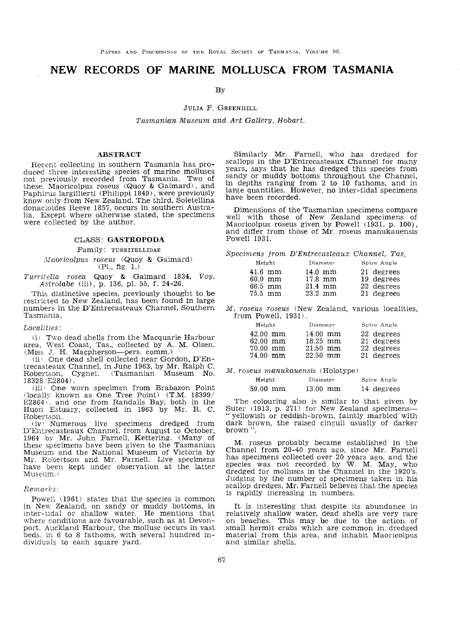# **NEW RECORDS OF MARINE MOLLUSCA FROM TASMANIA**

# By

# JULIA F. GREENHILL

## Tasmanian Museum and Art Gallery, Hobart.

# ABSTRACT

Recent collecting in southern Tasmania has produced three interesting species of marine molluscs not previously recorded from Tasmania. Two of these, Maoricolpus roseus (Quoy & Gaimard), and Paphirus largillierti (Philippi 1849), were previously know only from New Zealand. The third, Soletellina donacioides Reeve 1857, occurs in southern Australia. Except where otherwise stated, the specimens were collected by the author.

#### CLASS: GASTROPODA

## Family: TURRITELLIDAE

Maorioolpus roseus (Quoy & Gaimard) (PI., fig. 1.)

Turritella rosea Quoy & Gaimard 1834, Voy. Astrolabe (iii), p. 136, pI. 55, f. 24-26.

This distinctive species, previously thought to be restricted to New Zealand, has been found in large numbers in the D'Entrecasteaux Channel, Southern Tasmania.

#### Localities:

(i) Two dead shells from the Macquarie Harbour area, West Coast, Tas., collected by A. M. Olsen. (Miss J. H. Macpherson-pers. comm.)

 $(ii)$  One dead shell collected near Gordon,  $D'En$ trecasteaux Channel, in June 1963, by Mr. Ralph C. Robertson, Cygnet. (Tasmanian Museum No.

(iii) One worn specimen from Brabazon Point (locally known as One Tree Point) (T.M. 18399/ E2864), and one from Randalls Bay, both in the Huon Estuary, collected in 1963 by Mr. R. C. Robertson.

(iv) Numerous live specimens dredged from D'Entrecasteaux Channel, from August to October, 1964 by Mr. John Farnell, Kettering. (Many of these specimens have been given to the Tasmanian Museum and the National Museum of Victoria by Mr. Robertson and Mr. Farnell. Live specimens have been kept under observation at the latter Museum.)

#### Remarks:

Powell (1961) states that the species is common in New Zealand, on sandy or muddy bottoms, in inter-tidal or shallow water. He mentions that where conditions are favourable, such as at Devonport, Auckland Harbour, the mollusc occurs in vast beds, in 6 to 8 fathoms, with several hundred individuals to each square yard.

Similarly Mr. Farnell, who has dredged for scallops in the D'Entrecasteaux Channel for many years, says that he has dredged this species from sandy or muddy bottoms throughout the Channel, in depths ranging from 2 to 10 fathoms, and in large quantities. However, no inter-tidal specimens have been recorded.

Dimensions of the Tasmanian specimens compare well with those of New Zealand specimens of Maoricolpus roseus given by Powell (1931, p. 100), and differ from those of Mr. roseus manukauensis Powell 1931.

|  |  | Specimens from D'Entrecasteaux Channel, Tas. |  |  |
|--|--|----------------------------------------------|--|--|
|--|--|----------------------------------------------|--|--|

| Height    | Diameter  | Spire Angle |
|-----------|-----------|-------------|
| $41.6$ mm | $14.0$ mm | 21 degrees  |
| $60.0$ mm | 17.8 mm   | 19 degrees  |
| 66.5 mm   | 21.4 mm   | 22 degrees  |
| 75.5 mm   | $23.2$ mm | 21 degrees  |

M. roseus roseus (New Zealand, various localities, from Powell, 1931).

| Height     | Diameter   | Spire Angle |
|------------|------------|-------------|
| 42.00 mm   | $14.00$ mm | 22 degrees  |
| $62.00$ mm | 18.25 mm   | 21 degrees  |
| 70.00 mm   | $21.50$ mm | 22 degrees  |
| 74.00 mm   | 22.50 mm   | 21 degrees  |

M. roseus manukauensis (Holotype)

| Height   | Diameter   | Spire Angle |
|----------|------------|-------------|
| 59.00 mm | $13.00$ mm | 14 degrees  |

The colouring also is similar to that given by Suter (1913, p. 271) for New Zealand specimens-"yellowish or reddish-brown, faintly marbled with dark brown, the raised cinguli usually of darker brown ".

M. roseus probably became established in the Channel from 20-40 years ago, since Mr. Farnell has specimens collected over 20 years ago, and the species was not recorded by W. M. May, who dredged for molluscs in the Channel in the 1920's. Judging by the number of specimens taken in his scallop dredges, Mr. Farnell believes that the species is rapidly increasing in numbers.

It is interesting that despite its abundance in relatively shallow water, dead shells are very rare on beaches. This may be due to the action of small hermit crabs which are common in dredged material from this area, and inhabit Maoricolpus and similar shells.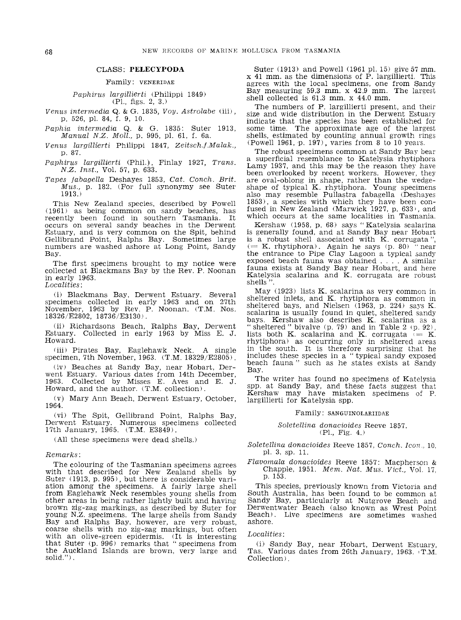# CLASS: **PELECYPODA**

# Family: VENERIDAE

Paphirus largillierti (Philippi 1849)  $(Pl.,$  figs,  $2, 3)$ 

Venus intermedia Q. & G. 1835, Voy. Astrolabe (iii), p. 526, pL 84, f. 9, 10,

- Paphia intermedia Q. & G, 1835: Suter 1913, Manual N,Z. Moll., p, 995, pI. 61, f. 6a,
- Venus largillierti Philippi 1847, Zeitsch.f.Malak., p.87.
- Paphirus largillierti (PhiL), Finlay 1927, Trans. N.Z. 1n8t., Vol. 57, p. 633.
- Tapes jabagella Deshayes 1853, Cat. Conch, Brit.  $Mus.$ , p. 182. (For full synonymy see Suter 1913.)

This New Zealand species, described by Powell (961) 'as being common on sandy beaches, has recently been found in southern Tasmania. It occurs on several sandy beaches in the Derwent Estuary, and is very common on the Spit, behind Gellibrand Point, Ralphs Bay. Sometimes large numbers are washed ashore at Long Point, Sandy Bay.

The first specimens brought to my notice were collected at Blackmans Bay by the Rev. p, Noonan in early  $1963$ .

Localities:

(i) Blackmans Bay, Derwent Estuary. Several specimens collected in early 1963 and on 27th November, 1963 by Rev, P. Noonan. (T.M. Nos. 18326/E2802, 18736/E3130).

(ii) Richardsons Beach, Ralphs Bay, Derwent<br>Estuary. Collected in early 1963 by Miss E. J. Howard.

(iii) Pirates Bay, Eaglehawk Neck. A single specimen, 7th November, 1963. (T.M. 18329/E2805).

(iv) Beaches at Sandy Bay, near Hobart, Derwent Estuary. Various dates from 14th December, 1963. Collected by Misses E. Aves and E. J. Howard, and the author. (T.M. collection).

(v) Mary Ann Beach, Derwent Estuary, October, 1964.

(vi) The Spit, Gellibrand Point, Ralphs Bay, Derwent Estuary. Numerous specimens collected 17th January, 1965. (T.M, E3849).

(All these specimens were dead shells.)

#### Remarks:

The colouring of the Tasmanian specimens agrees with that described for New Zealand shells by Suter (1913, p. 995), but there is considerable variation among the specimens. A fairly large shell from Eaglehawk Neck resembles young shells from other areas in being rather lightly built and having brown zig-zag markings, as described by Suter for young N.Z, specimens. The large shells from Sandy Bay and Ralphs Bay, however, are very robust, coarse shells with no zig-zag markings, but often with an olive-green epidermis. (It is interesting that Suter (p. 996) remarks that "specimens from the Auckland Islands are brown, very large and solid.") ,

Suter (1913) and Powell (1961 pl. 15) give 57 mm.  $x$  41 mm. as the dimensions of P. largillierti. This agrees with the local specimens, one from Sandy Bay measuring 59.3 mm. x 42,9 mm, The largest shell collected is 61.3 mm. x 44,0 mm.

The numbers of P. largillierti present, and their size and wide distribution in the Derwent Estuary<br>indicate that the species has been established for some time. The approximate age of the largest shells, estimated by counting annual growth rings (Powell 1961, p. 197), varies from 8 to 10 years,

The robust specimens common at Sandy Bay bear a superficial resemblance to Katelysia rhytiphora Lamy 1937, and this may be the reason they have<br>been overlooked by recent workers. However, they been overlooked by recent workers. However, they are oval-oblong in shape, rather than the wedge-<br>shape of typical K. rhytiphora. Young specimens also may resemble Pullastra fabagella (Deshayes 1853), a species with which they have been con-<br>fused in New Zealand (Marwick 1927, p. 633), and fused in New Zealand (Marwick 1927, p. 633), and which occurs at the same localities in Tasmania.

Kershaw (1958, p. 68) says "Katelysia scalarina is generally found, and at Sandy Bay near Hobart is a robust shell associated with K. corrugata ",  $(= K.$  rhytiphora). Again he says (p. 80) "near the entrance to Pipe Clay Lagoon a typical sandy exposed beach fauna was obtained .... A similar fauna exists at Sandy Bay near Hobart., and here Katelysia scalarina and K. corrugata are robust shells ".

May (1923) lists K. scalarina as very common in sheltered inlets, and K. rhytiphora as common in sheltered bays, and Nielsen  $(1963, p, 224)$  says K. scalarina is usually found in quiet, sheltered sandy bays. Kershaw also describes K. scalarina as a "sheltered" bivalve (p. 79) and in Table  $2$  (p. 92), lists both K. scalarina and K. corrugata  $=$  K. rhytiphora) as occurring only in sheltered areas in the south. It is therefore surprising that he includes these species in a "typical sandy exposed<br>beach fauna" such as he states exists at Sandy Bay.

The writer has found no specimens of Katelysia spp. at Sandy Bay, and these facts suggest Kershaw may have mistaken specimens of p, largillierti for Katelysia spp.

## Family: SANGUINOLARIIDAE

#### Soletellina donacioides Reeve 1857, (PL, Fig, 4.)

Soletellina donacioides Reeve 1857, Conch. Icon., 10, pI. 3, sp. 11.

Flavomala donacioides Reeve 1857: Macpherson & Chapple, 1951. Mem. Nat. Mus. Vict., Vol. 17. p, 153.

This species, previously known from Victoria and South Australia, has been found to be common at Sandy Bay, particularly at Nutgrove Beach and Derwentwater Beach (also known as Wrest Point Beach) , Live specimens are sometimes washed ashore,

#### Localities:

(i) Sandy Bay, near Hobart, Derwent Estuary, Tas. Various dates from 26th January, 1963. T.M. Collection) .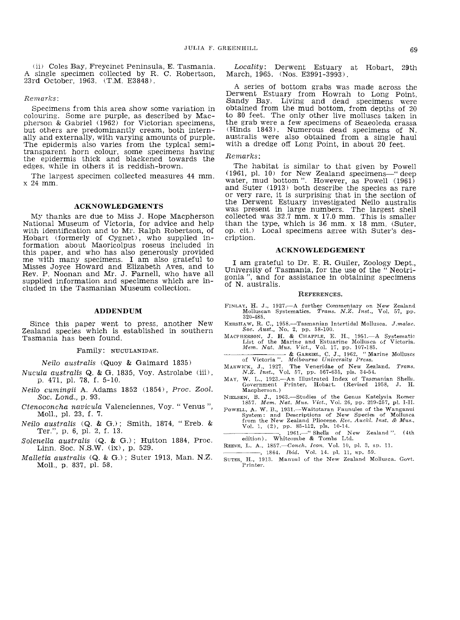(ii) Coles Bay, Freycinet Peninsula, E. Tasmania. A single specimen collected by R. C. Robertson, 23rd October, 1963. (T.M. E3848).

#### Remarks:

Specimens from this atea show some variation in colouring. Some are purple, as described by Macpherson & Gabriel (1962) for Victorian specimens, but others are predominantly cream, both internally and externally, with varying amounts of purple. The epidermis also varies from the typical semitransparent horn colour, some specimens having the epidermis thick and blackened towards the edges, while in others it is reddish-brown.

The largest specimen collected measures 44 mm.<br>x 24 mm.

#### **ACKNOWLEDGMENTS**

My thanks are due to Miss J. Hope Macpherson National Museum of Victoria, for advice and help with identification and to Mr. Ralph Robertson, of Hobart (formerly of Cygnet), who supplied information about Maoricolpus roseus included in this paper, and who has also generously provided me with many specimens. I am also grateful to Misses Joyce Howard and Elizabeth Aves, and to Rev. P. Noonan and Mr. J. Farnell, who have all supplied information and specimens which are included in the Tasmanian Museum collection.

## **ADDENDUM**

Since this paper went to press, another New Zealand species which is established in southern Tasmania has been found.

Family: NUCULANIDAE.

Neilo australis (Quoy & Gaimard 1835)

- Nucula australis Q. & G. 1835, Voy. Astrolabe (iii), p. 471, pI. 78, f. 5-10.
- Neilo cumingii A. Adams 1852 (1854), Proc. Zool. Soc. Lond., p. 93.
- Ctenoconcha navicula Valenciennes, Voy. "Venus ", Moll., pI. 23, f. 7.
- Neilo australis (Q. & G.); Smith, 1874, "Ereb. & Ter.", p. 6, pl. 2, f. 13.
- Solenella australis (Q. & G.); Hutton 1884, Proc. Linn. Soc. N.S.W. (ix), p. 529.
- Malletia australis (Q. & G.); Suter 1913, Man. N.Z. Moll., p. 837, pI. 58.

Locality: Derwent Estuary at Hobart, 29th March, 1965. (Nos. E3991-3993).

A series of bottom grabs was made across the Derwent Estuary from Howrah to Long Point,<br>Sandy Bay, Living and dead specimens were obtained from the mud bottom, from depths of 20 to 80 feet. The only other live molluscs taken in the grab were a few specimens of Scaeoleda crassa (Hinds 1843). Numerous dead specimens of N. australis were also obtained from a single haul with a dredge off Long Point, in about 20 feet.

## Remarks:

The habitat is similar to that given by Powell  $(1961, \text{ pl. } 10)$  for New Zealand specimens—" deep water, mud bottom ". However, as Powell (1961)<br>and Suter (1913) both describe the species as rare or very rare, it is surprising that in the section of the Derwent Estuary investigated Neilo australis was present in large numbers. The largest shell collected was 32.7 mm. x 17.0 mm. This is smaller than the type, which is 36 mm. x 18 mm. (Suter, op. cit.) Local specimens agree with Suter's description.

#### **ACKNOWLEDGEMENT**

I am grateful to Dr. E. R. Guiler, Zoology Dept., University of Tasmania, for the use of the" Neotrigonia", and for assistance in obtaining specimens of N. australis.

#### REFERENCES.

- FINLAY, H. J., 1927.---A further Commentary on New Zealand Molluscan Systematics. *Trans. N.Z. Inst.*, Vol. 57, pp.<br>320-485.
- KERSHAW, R. C., 1958.-Tasmanian Intertidal Mollusca. *J.malac.*
- Soc. Aust., No. 2, pp. 58-100.<br>
MACPHERSON, J. H. & CHAPPLE, E. H., 1951.--A Systematic<br>
List of the Marine and Estuarine Mollusca of Victoria.<br> *Mem. Nat. Mus. Vict.*, Vol. 17, pp. 107-185. List of the Marine and Estuarine Mollusca of Victoria.<br> *Mem. Nat. Mus. Vict.*, Vol. 17, pp. 107-185.<br> **blue Constant Press.** *C. J., 1962. "Marine Molluscs*<br>
of Victoria". *Melbourne University Press.* 
	-
- MARWICK, J., 1927. The Veneridae of New Zealand. *Trans. N.Z. Inst.,* Vol. 57, pp. 567-635, pis. 34-54.
- MAY, W. L., 1923.--An Illustrated Index of Tasmanian Shells. Government Printer, Hobart. (Revised 1958, J. H. Macpherson.)
- NIELSEN, B. J., 1963.---Studies of the Genus Katelysia Romer 1857. Mem. Nat. Mus. Vict., Vol. 26, pp. 219-257, pl. I-II.
- POWELL, A. W. B., 1931.—Waitotaran Faunules of the Wanganui System: and Descriptions of New Species of Mollusca from the New Zealand Pliocenec. Rec. Auckl. Inst. & Mus., Vol. 1, (2), pp. 85-112, pls. 10-14. -------, 1961.-" Shells of New Zealand". (4th
- edition). Whitcombe & Tombs Ltd.
- REEVE, L. A., 1857.—*Conch. Icon.* Vol. 10, pl. 3, sp. 11.<br>
---------, 1864. *Ibid.* Vol. 14. pl. 11, sp. 59.
- 
- SUTER, H., 1913. Manual of the New Zealand Mollusca. Govt. **Printer.**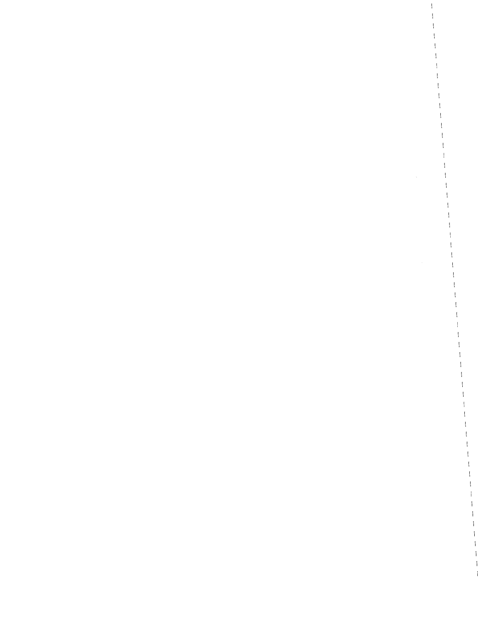フォント しょうしょうしょうしょうしょう

 $\begin{array}{c} 1 \\ 1 \\ 1 \\ 1 \\ 1 \\ 1 \\ \end{array}$  $\bar{1}$  $\frac{1}{1}$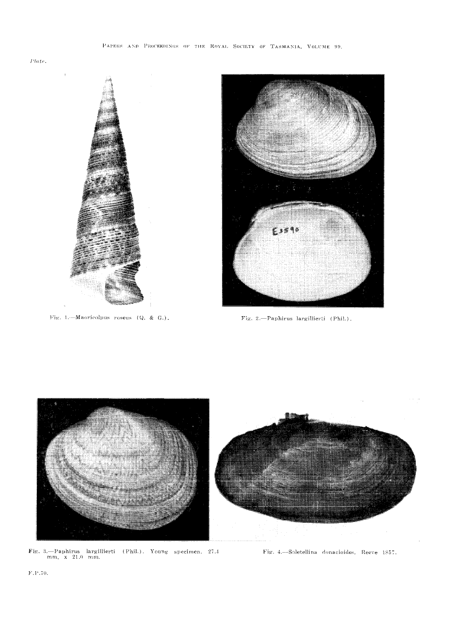*Plate.* 



Fig. 1.----Maoricolpus roseus  $(Q, \& G. )$ .

Fig. 2.-Paphirus largillierti (Phil.).



Fig. 3.-Paphirus largillierti (Phil.). Young specimen. 27.4 **mm. x 21.0 mm.** 

Fig. 4.-Soletellina donacioides, Reeve 1857.